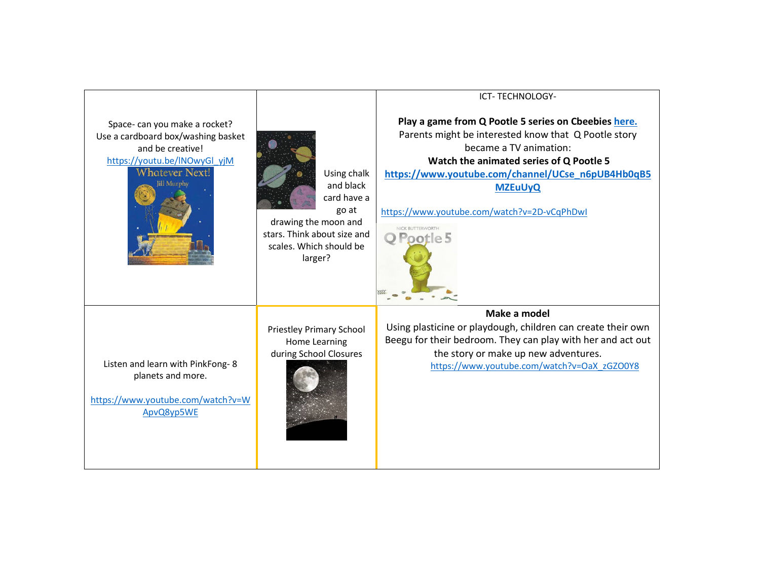